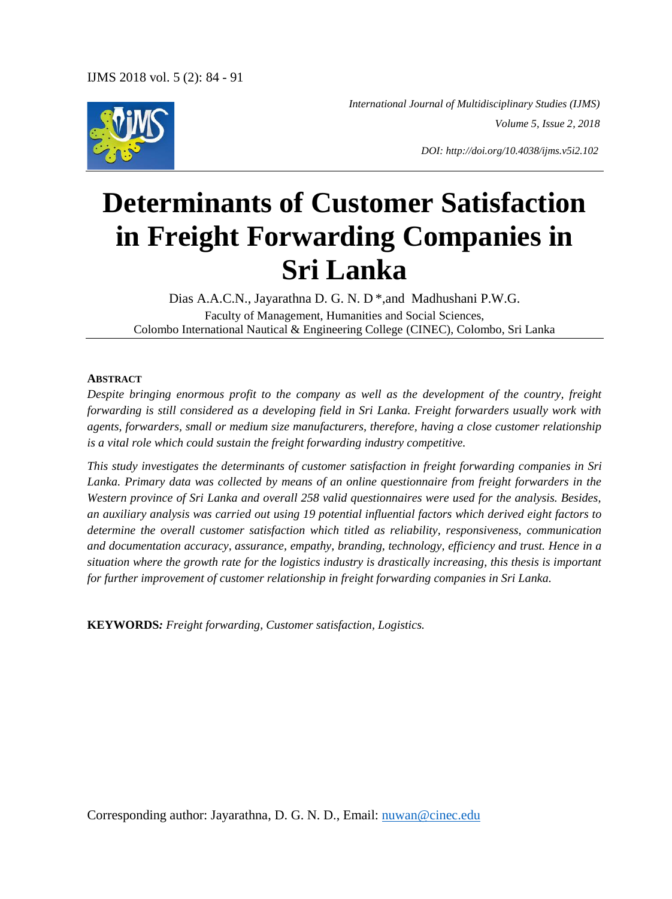

 *International Journal of Multidisciplinary Studies (IJMS) Volume 5, Issue 2, 2018*

*DOI: http://doi.org/10.4038/ijms.v5i2.102*

# **Determinants of Customer Satisfaction in Freight Forwarding Companies in Sri Lanka**

Dias A.A.C.N., Jayarathna D. G. N. D \*,and Madhushani P.W.G. Faculty of Management, Humanities and Social Sciences, Colombo International Nautical & Engineering College (CINEC), Colombo, Sri Lanka

#### **ABSTRACT**

*Despite bringing enormous profit to the company as well as the development of the country, freight forwarding is still considered as a developing field in Sri Lanka. Freight forwarders usually work with agents, forwarders, small or medium size manufacturers, therefore, having a close customer relationship is a vital role which could sustain the freight forwarding industry competitive.*

*This study investigates the determinants of customer satisfaction in freight forwarding companies in Sri Lanka. Primary data was collected by means of an online questionnaire from freight forwarders in the Western province of Sri Lanka and overall 258 valid questionnaires were used for the analysis. Besides, an auxiliary analysis was carried out using 19 potential influential factors which derived eight factors to determine the overall customer satisfaction which titled as reliability, responsiveness, communication and documentation accuracy, assurance, empathy, branding, technology, efficiency and trust. Hence in a situation where the growth rate for the logistics industry is drastically increasing, this thesis is important for further improvement of customer relationship in freight forwarding companies in Sri Lanka.*

**KEYWORDS***: Freight forwarding, Customer satisfaction, Logistics.*

Corresponding author: Jayarathna, D. G. N. D., Email: nuwan@cinec.edu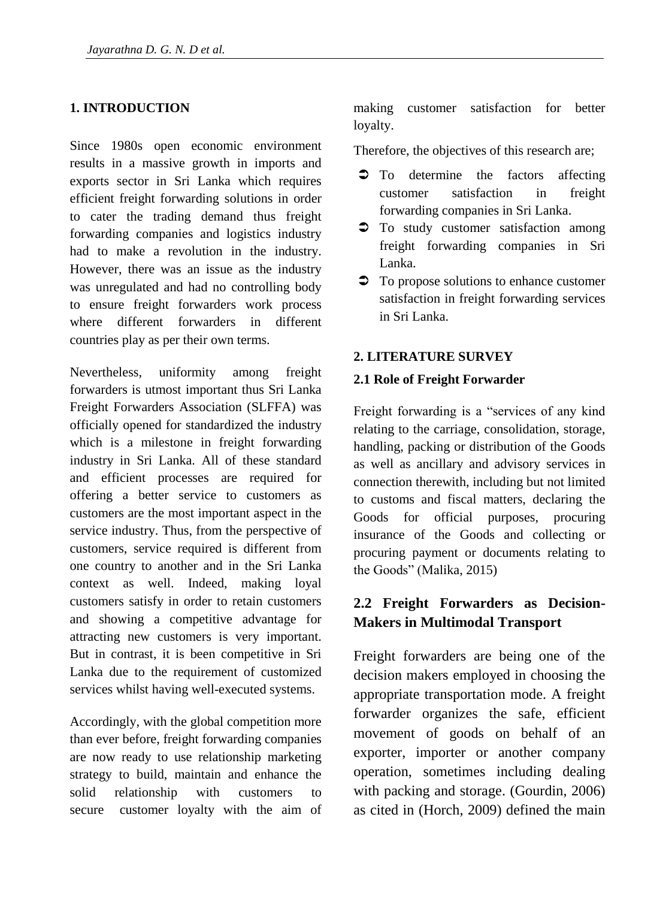### **1. INTRODUCTION**

Since 1980s open economic environment results in a massive growth in imports and exports sector in Sri Lanka which requires efficient freight forwarding solutions in order to cater the trading demand thus freight forwarding companies and logistics industry had to make a revolution in the industry. However, there was an issue as the industry was unregulated and had no controlling body to ensure freight forwarders work process where different forwarders in different countries play as per their own terms.

Nevertheless, uniformity among freight forwarders is utmost important thus Sri Lanka Freight Forwarders Association (SLFFA) was officially opened for standardized the industry which is a milestone in freight forwarding industry in Sri Lanka. All of these standard and efficient processes are required for offering a better service to customers as customers are the most important aspect in the service industry. Thus, from the perspective of customers, service required is different from one country to another and in the Sri Lanka context as well. Indeed, making loyal customers satisfy in order to retain customers and showing a competitive advantage for attracting new customers is very important. But in contrast, it is been competitive in Sri Lanka due to the requirement of customized services whilst having well-executed systems.

Accordingly, with the global competition more than ever before, freight forwarding companies are now ready to use relationship marketing strategy to build, maintain and enhance the solid relationship with customers to secure customer loyalty with the aim of making customer satisfaction for better loyalty.

Therefore, the objectives of this research are;

- $\bullet$  To determine the factors affecting customer satisfaction in freight forwarding companies in Sri Lanka.
- $\supset$  To study customer satisfaction among freight forwarding companies in Sri Lanka.
- $\supset$  To propose solutions to enhance customer satisfaction in freight forwarding services in Sri Lanka.

#### **2. LITERATURE SURVEY**

#### **2.1 Role of Freight Forwarder**

Freight forwarding is a "services of any kind relating to the carriage, consolidation, storage, handling, packing or distribution of the Goods as well as ancillary and advisory services in connection therewith, including but not limited to customs and fiscal matters, declaring the Goods for official purposes, procuring insurance of the Goods and collecting or procuring payment or documents relating to the Goods" (Malika, 2015)

# **2.2 Freight Forwarders as Decision-Makers in Multimodal Transport**

Freight forwarders are being one of the decision makers employed in choosing the appropriate transportation mode. A freight forwarder organizes the safe, efficient movement of goods on behalf of an exporter, importer or another company operation, sometimes including dealing with packing and storage. (Gourdin, 2006) as cited in (Horch, 2009) defined the main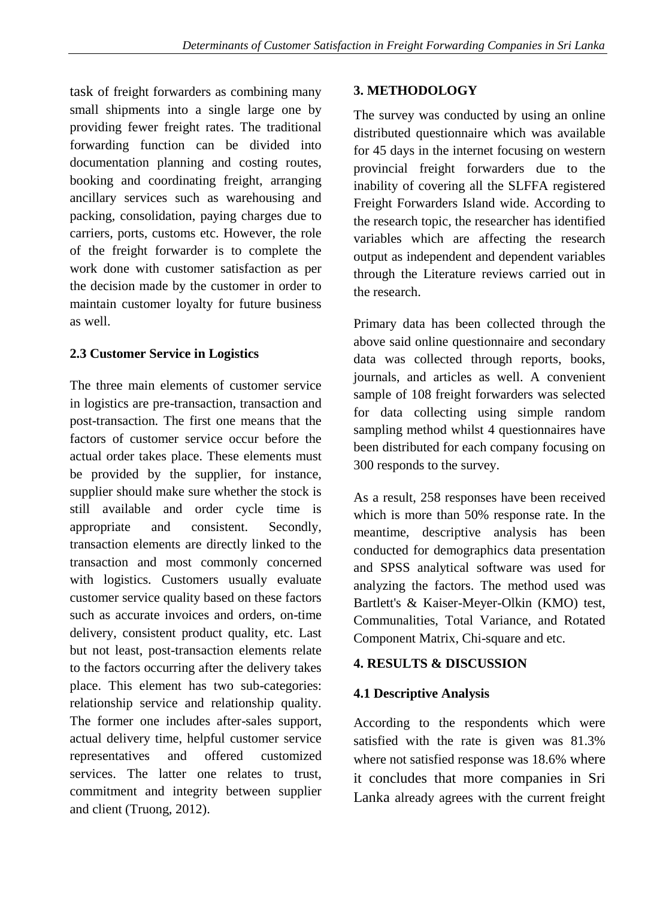task of freight forwarders as combining many small shipments into a single large one by providing fewer freight rates. The traditional forwarding function can be divided into documentation planning and costing routes, booking and coordinating freight, arranging ancillary services such as warehousing and packing, consolidation, paying charges due to carriers, ports, customs etc. However, the role of the freight forwarder is to complete the work done with customer satisfaction as per the decision made by the customer in order to maintain customer loyalty for future business as well.

# **2.3 Customer Service in Logistics**

The three main elements of customer service in logistics are pre-transaction, transaction and post-transaction. The first one means that the factors of customer service occur before the actual order takes place. These elements must be provided by the supplier, for instance, supplier should make sure whether the stock is still available and order cycle time is appropriate and consistent. Secondly, transaction elements are directly linked to the transaction and most commonly concerned with logistics. Customers usually evaluate customer service quality based on these factors such as accurate invoices and orders, on-time delivery, consistent product quality, etc. Last but not least, post-transaction elements relate to the factors occurring after the delivery takes place. This element has two sub-categories: relationship service and relationship quality. The former one includes after-sales support, actual delivery time, helpful customer service representatives and offered customized services. The latter one relates to trust, commitment and integrity between supplier and client (Truong, 2012).

# **3. METHODOLOGY**

The survey was conducted by using an online distributed questionnaire which was available for 45 days in the internet focusing on western provincial freight forwarders due to the inability of covering all the SLFFA registered Freight Forwarders Island wide. According to the research topic, the researcher has identified variables which are affecting the research output as independent and dependent variables through the Literature reviews carried out in the research.

Primary data has been collected through the above said online questionnaire and secondary data was collected through reports, books, journals, and articles as well. A convenient sample of 108 freight forwarders was selected for data collecting using simple random sampling method whilst 4 questionnaires have been distributed for each company focusing on 300 responds to the survey.

As a result, 258 responses have been received which is more than 50% response rate. In the meantime, descriptive analysis has been conducted for demographics data presentation and SPSS analytical software was used for analyzing the factors. The method used was Bartlett's & Kaiser-Meyer-Olkin (KMO) test, Communalities, Total Variance, and Rotated Component Matrix, Chi-square and etc.

# **4. RESULTS & DISCUSSION**

# **4.1 Descriptive Analysis**

According to the respondents which were satisfied with the rate is given was 81.3% where not satisfied response was 18.6% where it concludes that more companies in Sri Lanka already agrees with the current freight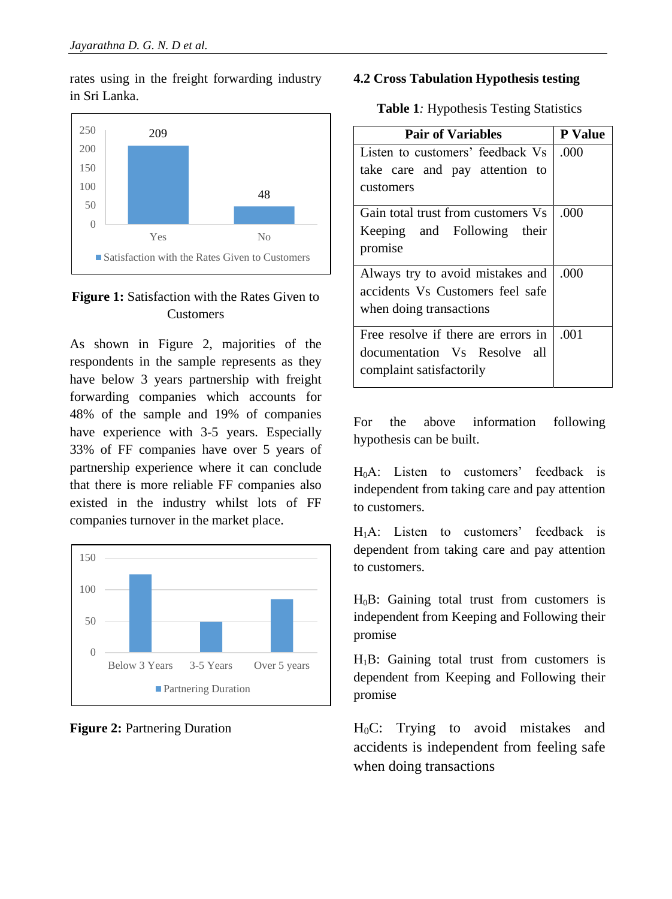rates using in the freight forwarding industry in Sri Lanka.



# **Figure 1:** Satisfaction with the Rates Given to Customers

As shown in Figure 2, majorities of the respondents in the sample represents as they have below 3 years partnership with freight forwarding companies which accounts for 48% of the sample and 19% of companies have experience with 3-5 years. Especially 33% of FF companies have over 5 years of partnership experience where it can conclude that there is more reliable FF companies also existed in the industry whilst lots of FF companies turnover in the market place.



**Figure 2:** Partnering Duration

#### **4.2 Cross Tabulation Hypothesis testing**

|  | <b>Table 1:</b> Hypothesis Testing Statistics |  |  |
|--|-----------------------------------------------|--|--|
|--|-----------------------------------------------|--|--|

| <b>Pair of Variables</b>            | <b>P</b> Value |
|-------------------------------------|----------------|
| Listen to customers' feedback Vs    | .000           |
| take care and pay attention to      |                |
| customers                           |                |
| Gain total trust from customers Vs  | .000           |
| Keeping and Following their         |                |
| promise                             |                |
| Always try to avoid mistakes and    | .000           |
| accidents Vs Customers feel safe    |                |
| when doing transactions             |                |
| Free resolve if there are errors in | .001           |
| documentation Vs Resolve all        |                |
| complaint satisfactorily            |                |
|                                     |                |

For the above information following hypothesis can be built.

 $H_0A$ : Listen to customers' feedback is independent from taking care and pay attention to customers.

H1A: Listen to customers' feedback is dependent from taking care and pay attention to customers.

 $H_0B$ : Gaining total trust from customers is independent from Keeping and Following their promise

 $H_1B$ : Gaining total trust from customers is dependent from Keeping and Following their promise

 $H_0C$ : Trying to avoid mistakes and accidents is independent from feeling safe when doing transactions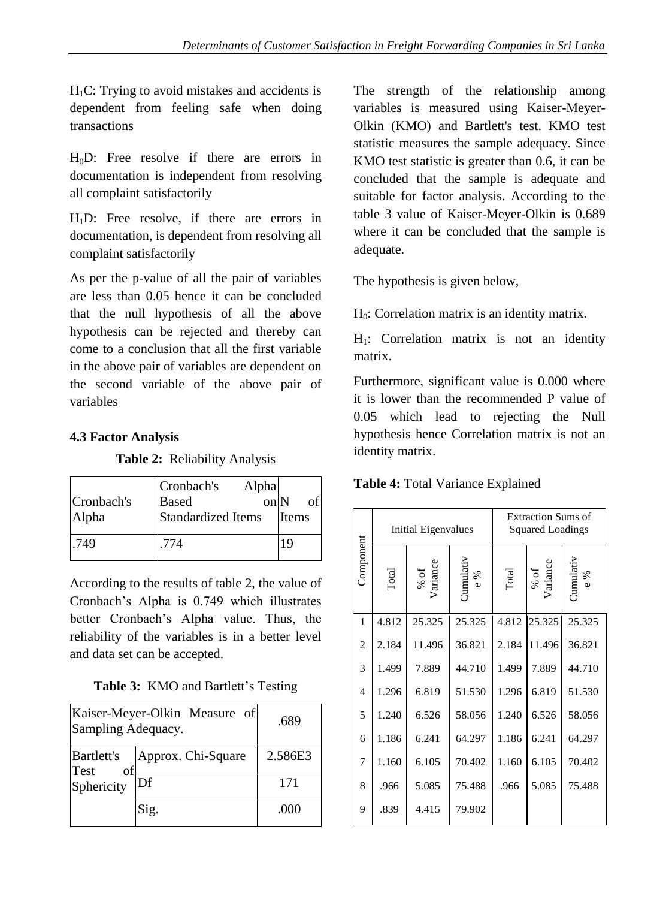$H_1C$ : Trying to avoid mistakes and accidents is dependent from feeling safe when doing transactions

 $H_0D$ : Free resolve if there are errors in documentation is independent from resolving all complaint satisfactorily

 $H_1D$ : Free resolve, if there are errors in documentation, is dependent from resolving all complaint satisfactorily

As per the p-value of all the pair of variables are less than 0.05 hence it can be concluded that the null hypothesis of all the above hypothesis can be rejected and thereby can come to a conclusion that all the first variable in the above pair of variables are dependent on the second variable of the above pair of variables

# **4.3 Factor Analysis**

# **Table 2:**Reliability Analysis

| Cronbach's<br>Alpha | Cronbach's<br>Alpha<br><b>Based</b><br>on <sub>N</sub><br>Standardized Items | of<br>Items |
|---------------------|------------------------------------------------------------------------------|-------------|
| .749                | .774                                                                         | 19          |

According to the results of table 2, the value of Cronbach's Alpha is 0.749 which illustrates better Cronbach's Alpha value. Thus, the reliability of the variables is in a better level and data set can be accepted.

| Kaiser-Meyer-Olkin Measure of<br>Sampling Adequacy. | .689               |         |
|-----------------------------------------------------|--------------------|---------|
| <b>Bartlett's</b><br>of<br>Test                     | Approx. Chi-Square | 2.586E3 |
| Sphericity                                          | Df                 | 171     |
|                                                     | Sig.               | (000)   |

The strength of the relationship among variables is measured using Kaiser-Meyer-Olkin (KMO) and Bartlett's test. KMO test statistic measures the sample adequacy. Since KMO test statistic is greater than 0.6, it can be concluded that the sample is adequate and suitable for factor analysis. According to the table 3 value of Kaiser-Meyer-Olkin is 0.689 where it can be concluded that the sample is adequate.

The hypothesis is given below,

 $H_0$ : Correlation matrix is an identity matrix.

 $H_1$ : Correlation matrix is not an identity matrix.

Furthermore, significant value is 0.000 where it is lower than the recommended P value of 0.05 which lead to rejecting the Null hypothesis hence Correlation matrix is not an identity matrix.

# **Table 4:** Total Variance Explained

|                | Initial Eigenvalues |                  | <b>Extraction Sums of</b><br><b>Squared Loadings</b> |       |                  |                         |
|----------------|---------------------|------------------|------------------------------------------------------|-------|------------------|-------------------------|
| Component      | Total               | % of<br>Variance | Jumulativ<br>$e\%$                                   | Total | % of<br>Variance | <b>Cumulativ</b><br>e % |
| 1              | 4.812               | 25.325           | 25.325                                               | 4.812 | 25.325           | 25.325                  |
| $\overline{c}$ | 2.184               | 11.496           | 36.821                                               | 2.184 | 11.496           | 36.821                  |
| 3              | 1.499               | 7.889            | 44.710                                               | 1.499 | 7.889            | 44.710                  |
| $\overline{4}$ | 1.296               | 6.819            | 51.530                                               | 1.296 | 6.819            | 51.530                  |
| 5              | 1.240               | 6.526            | 58.056                                               | 1.240 | 6.526            | 58.056                  |
| 6              | 1.186               | 6.241            | 64.297                                               | 1.186 | 6.241            | 64.297                  |
| 7              | 1.160               | 6.105            | 70.402                                               | 1.160 | 6.105            | 70.402                  |
| 8              | .966                | 5.085            | 75.488                                               | .966  | 5.085            | 75.488                  |
| 9              | .839                | 4.415            | 79.902                                               |       |                  |                         |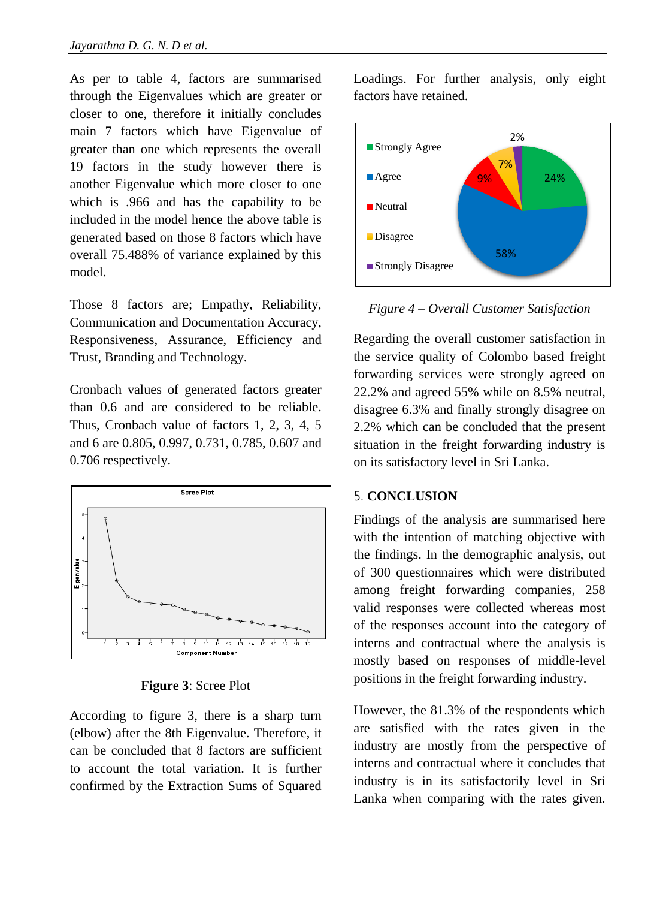As per to table 4, factors are summarised through the Eigenvalues which are greater or closer to one, therefore it initially concludes main 7 factors which have Eigenvalue of greater than one which represents the overall 19 factors in the study however there is another Eigenvalue which more closer to one which is .966 and has the capability to be included in the model hence the above table is generated based on those 8 factors which have overall 75.488% of variance explained by this model.

Those 8 factors are; Empathy, Reliability, Communication and Documentation Accuracy, Responsiveness, Assurance, Efficiency and Trust, Branding and Technology.

Cronbach values of generated factors greater than 0.6 and are considered to be reliable. Thus, Cronbach value of factors 1, 2, 3, 4, 5 and 6 are 0.805, 0.997, 0.731, 0.785, 0.607 and 0.706 respectively.



**Figure 3**: Scree Plot

According to figure 3, there is a sharp turn (elbow) after the 8th Eigenvalue. Therefore, it can be concluded that 8 factors are sufficient to account the total variation. It is further confirmed by the Extraction Sums of Squared Loadings. For further analysis, only eight factors have retained.



*Figure 4 – Overall Customer Satisfaction*

Regarding the overall customer satisfaction in the service quality of Colombo based freight forwarding services were strongly agreed on 22.2% and agreed 55% while on 8.5% neutral, disagree 6.3% and finally strongly disagree on 2.2% which can be concluded that the present situation in the freight forwarding industry is on its satisfactory level in Sri Lanka.

# 5. **CONCLUSION**

Findings of the analysis are summarised here with the intention of matching objective with the findings. In the demographic analysis, out of 300 questionnaires which were distributed among freight forwarding companies, 258 valid responses were collected whereas most of the responses account into the category of interns and contractual where the analysis is mostly based on responses of middle-level positions in the freight forwarding industry.

However, the 81.3% of the respondents which are satisfied with the rates given in the industry are mostly from the perspective of interns and contractual where it concludes that industry is in its satisfactorily level in Sri Lanka when comparing with the rates given.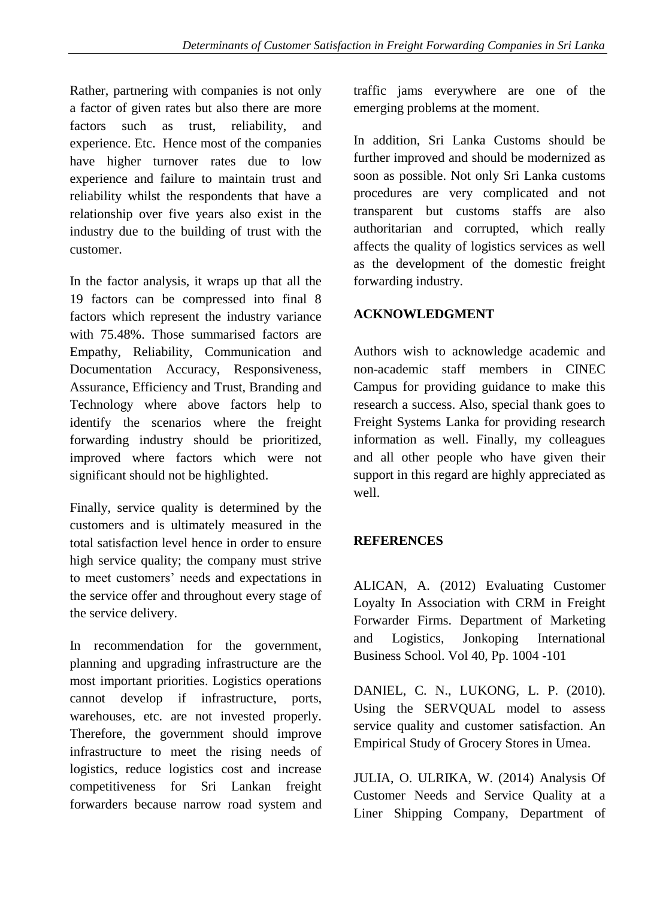Rather, partnering with companies is not only a factor of given rates but also there are more factors such as trust, reliability, and experience. Etc. Hence most of the companies have higher turnover rates due to low experience and failure to maintain trust and reliability whilst the respondents that have a relationship over five years also exist in the industry due to the building of trust with the customer.

In the factor analysis, it wraps up that all the 19 factors can be compressed into final 8 factors which represent the industry variance with 75.48%. Those summarised factors are Empathy, Reliability, Communication and Documentation Accuracy, Responsiveness, Assurance, Efficiency and Trust, Branding and Technology where above factors help to identify the scenarios where the freight forwarding industry should be prioritized, improved where factors which were not significant should not be highlighted.

Finally, service quality is determined by the customers and is ultimately measured in the total satisfaction level hence in order to ensure high service quality; the company must strive to meet customers' needs and expectations in the service offer and throughout every stage of the service delivery.

In recommendation for the government, planning and upgrading infrastructure are the most important priorities. Logistics operations cannot develop if infrastructure, ports, warehouses, etc. are not invested properly. Therefore, the government should improve infrastructure to meet the rising needs of logistics, reduce logistics cost and increase competitiveness for Sri Lankan freight forwarders because narrow road system and traffic jams everywhere are one of the emerging problems at the moment.

In addition, Sri Lanka Customs should be further improved and should be modernized as soon as possible. Not only Sri Lanka customs procedures are very complicated and not transparent but customs staffs are also authoritarian and corrupted, which really affects the quality of logistics services as well as the development of the domestic freight forwarding industry.

# **ACKNOWLEDGMENT**

Authors wish to acknowledge academic and non-academic staff members in CINEC Campus for providing guidance to make this research a success. Also, special thank goes to Freight Systems Lanka for providing research information as well. Finally, my colleagues and all other people who have given their support in this regard are highly appreciated as well.

# **REFERENCES**

ALICAN, A. (2012) Evaluating Customer Loyalty In Association with CRM in Freight Forwarder Firms. Department of Marketing and Logistics, Jonkoping International Business School. Vol 40, Pp. 1004 -101

DANIEL, C. N., LUKONG, L. P. (2010). Using the SERVQUAL model to assess service quality and customer satisfaction. An Empirical Study of Grocery Stores in Umea.

JULIA, O. ULRIKA, W. (2014) Analysis Of Customer Needs and Service Quality at a Liner Shipping Company, Department of